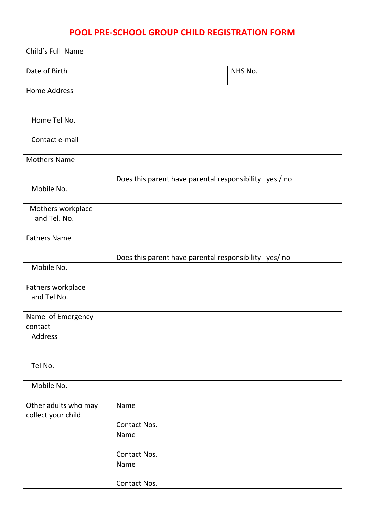## **POOL PRE-SCHOOL GROUP CHILD REGISTRATION FORM**

| Child's Full Name                          |                                                        |
|--------------------------------------------|--------------------------------------------------------|
| Date of Birth                              | NHS No.                                                |
| <b>Home Address</b>                        |                                                        |
| Home Tel No.                               |                                                        |
| Contact e-mail                             |                                                        |
| <b>Mothers Name</b>                        |                                                        |
| Mobile No.                                 | Does this parent have parental responsibility yes / no |
| Mothers workplace<br>and Tel. No.          |                                                        |
| <b>Fathers Name</b>                        |                                                        |
|                                            | Does this parent have parental responsibility yes/ no  |
| Mobile No.                                 |                                                        |
| Fathers workplace<br>and Tel No.           |                                                        |
| Name of Emergency<br>contact               |                                                        |
| Address                                    |                                                        |
| Tel No.                                    |                                                        |
| Mobile No.                                 |                                                        |
| Other adults who may<br>collect your child | Name                                                   |
|                                            | Contact Nos.                                           |
|                                            | Name                                                   |
|                                            | Contact Nos.                                           |
|                                            | Name                                                   |
|                                            | Contact Nos.                                           |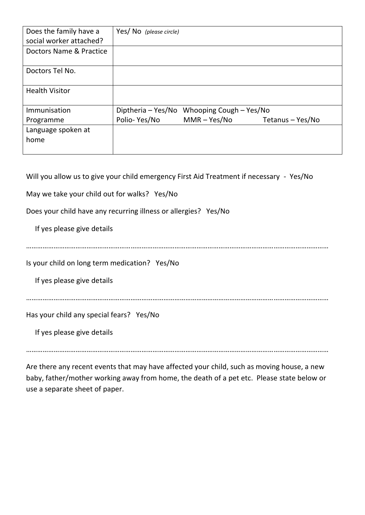| Does the family have a<br>social worker attached? | Yes/ No (please circle) |                                            |                  |  |
|---------------------------------------------------|-------------------------|--------------------------------------------|------------------|--|
| Doctors Name & Practice                           |                         |                                            |                  |  |
| Doctors Tel No.                                   |                         |                                            |                  |  |
| <b>Health Visitor</b>                             |                         |                                            |                  |  |
| Immunisation                                      |                         | Diptheria - Yes/No Whooping Cough - Yes/No |                  |  |
| Programme                                         | Polio-Yes/No            | MMR – Yes/No                               | Tetanus - Yes/No |  |
| Language spoken at<br>home                        |                         |                                            |                  |  |

Will you allow us to give your child emergency First Aid Treatment if necessary - Yes/No

May we take your child out for walks? Yes/No

Does your child have any recurring illness or allergies? Yes/No

If yes please give details

…………………………………………………………………………………………………………………………………………………

Is your child on long term medication? Yes/No

If yes please give details

…………………………………………………………………………………………………………………………………………………

Has your child any special fears? Yes/No

If yes please give details

…………………………………………………………………………………………………………………………………………………

Are there any recent events that may have affected your child, such as moving house, a new baby, father/mother working away from home, the death of a pet etc. Please state below or use a separate sheet of paper.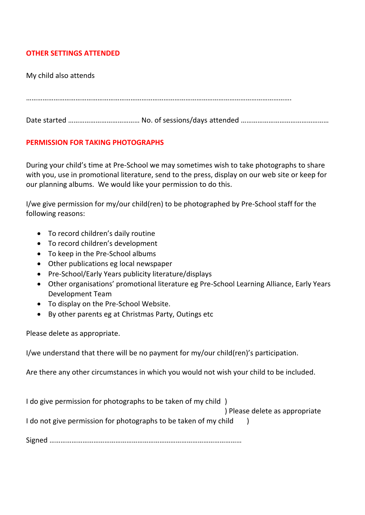## **OTHER SETTINGS ATTENDED**

My child also attends

……………………………………………………………………………………………………………………………….

Date started ………………………………………… No. of sessions/days attended ……………………………………………………

## **PERMISSION FOR TAKING PHOTOGRAPHS**

During your child's time at Pre-School we may sometimes wish to take photographs to share with you, use in promotional literature, send to the press, display on our web site or keep for our planning albums. We would like your permission to do this.

I/we give permission for my/our child(ren) to be photographed by Pre-School staff for the following reasons:

- To record children's daily routine
- To record children's development
- To keep in the Pre-School albums
- Other publications eg local newspaper
- Pre-School/Early Years publicity literature/displays
- Other organisations' promotional literature eg Pre-School Learning Alliance, Early Years Development Team
- To display on the Pre-School Website.
- By other parents eg at Christmas Party, Outings etc

Please delete as appropriate.

I/we understand that there will be no payment for my/our child(ren)'s participation.

Are there any other circumstances in which you would not wish your child to be included.

I do give permission for photographs to be taken of my child )

) Please delete as appropriate

I do not give permission for photographs to be taken of my child )

Signed ……………………………………………………………………………………………